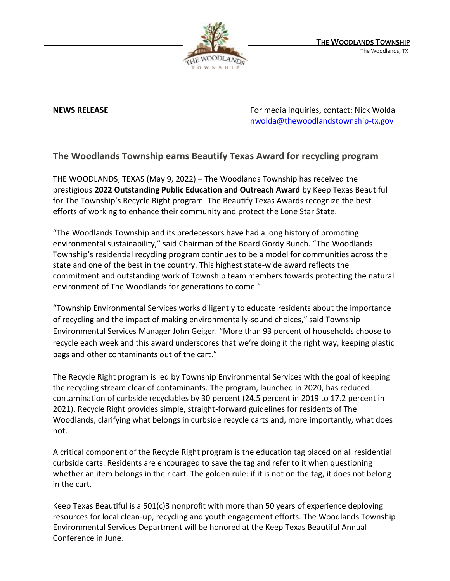

**NEWS RELEASE EXECUTE:** NEWS **RELEASE For media inquiries, contact: Nick Wolda** [nwolda@thewoodlandstownship-tx.gov](mailto:nwolda@thewoodlandstownship-tx.gov)

## **The Woodlands Township earns Beautify Texas Award for recycling program**

THE WOODLANDS, TEXAS (May 9, 2022) – The Woodlands Township has received the prestigious **2022 Outstanding Public Education and Outreach Award** by Keep Texas Beautiful for The Township's Recycle Right program. The Beautify Texas Awards recognize the best efforts of working to enhance their community and protect the Lone Star State.

"The Woodlands Township and its predecessors have had a long history of promoting environmental sustainability," said Chairman of the Board Gordy Bunch. "The Woodlands Township's residential recycling program continues to be a model for communities across the state and one of the best in the country. This highest state-wide award reflects the commitment and outstanding work of Township team members towards protecting the natural environment of The Woodlands for generations to come."

"Township Environmental Services works diligently to educate residents about the importance of recycling and the impact of making environmentally-sound choices," said Township Environmental Services Manager John Geiger. "More than 93 percent of households choose to recycle each week and this award underscores that we're doing it the right way, keeping plastic bags and other contaminants out of the cart."

The Recycle Right program is led by Township Environmental Services with the goal of keeping the recycling stream clear of contaminants. The program, launched in 2020, has reduced contamination of curbside recyclables by 30 percent (24.5 percent in 2019 to 17.2 percent in 2021). Recycle Right provides simple, straight-forward guidelines for residents of The Woodlands, clarifying what belongs in curbside recycle carts and, more importantly, what does not.

A critical component of the Recycle Right program is the education tag placed on all residential curbside carts. Residents are encouraged to save the tag and refer to it when questioning whether an item belongs in their cart. The golden rule: if it is not on the tag, it does not belong in the cart.

Keep Texas Beautiful is a 501(c)3 nonprofit with more than 50 years of experience deploying resources for local clean-up, recycling and youth engagement efforts. The Woodlands Township Environmental Services Department will be honored at the Keep Texas Beautiful Annual Conference in June.